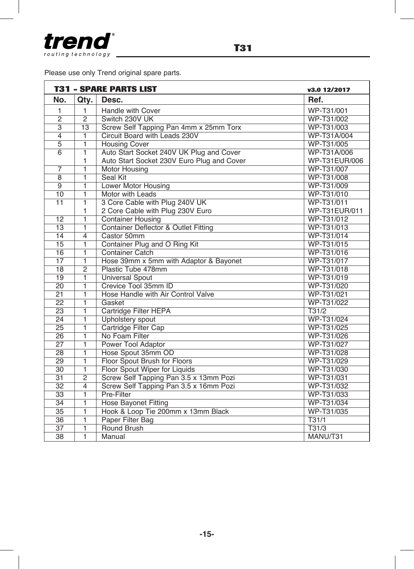

Please use only Trend original spare parts.

| <b>T31 - SPARE PARTS LIST</b> |                |                                                 | v3.0 12/2017  |
|-------------------------------|----------------|-------------------------------------------------|---------------|
| No.                           | Qtv.           | Desc.                                           | Ref.          |
| 1                             | $\mathbf{1}$   | Handle with Cover                               | WP-T31/001    |
| $\overline{c}$                | $\overline{2}$ | Switch 230V UK                                  | WP-T31/002    |
| $\overline{3}$                | 13             | Screw Self Tapping Pan 4mm x 25mm Torx          | WP-T31/003    |
| $\overline{4}$                | 1              | Circuit Board with Leads 230V                   | WP-T31A/004   |
| $\overline{5}$                | 1              | <b>Housing Cover</b>                            | WP-T31/005    |
| $\overline{6}$                | 1              | Auto Start Socket 240V UK Plug and Cover        | WP-T31A/006   |
|                               | 1              | Auto Start Socket 230V Euro Plug and Cover      | WP-T31EUR/006 |
| $\overline{7}$                | 1              | <b>Motor Housing</b>                            | WP-T31/007    |
| $\overline{8}$                | 1              | <b>Seal Kit</b>                                 | WP-T31/008    |
| $\overline{9}$                | 1              | Lower Motor Housing                             | WP-T31/009    |
| 10                            | 1              | Motor with Leads                                | WP-T31/010    |
| 11                            | $\overline{1}$ | 3 Core Cable with Plug 240V UK                  | WP-T31/011    |
|                               | 1              | 2 Core Cable with Plug 230V Euro                | WP-T31EUR/011 |
| 12                            | 1              | <b>Container Housing</b>                        | WP-T31/012    |
| $\overline{13}$               | $\overline{1}$ | <b>Container Deflector &amp; Outlet Fitting</b> | WP-T31/013    |
| 14                            | $\overline{4}$ | Castor 50mm                                     | WP-T31/014    |
| $\overline{15}$               | $\overline{1}$ | Container Plug and O Ring Kit                   | WP-T31/015    |
| 16                            | 1              | <b>Container Catch</b>                          | WP-T31/016    |
| $\overline{17}$               | $\overline{1}$ | Hose 39mm x 5mm with Adaptor & Bayonet          | WP-T31/017    |
| $\overline{18}$               | $\overline{2}$ | Plastic Tube 478mm                              | WP-T31/018    |
| 19                            | $\overline{1}$ | <b>Universal Spout</b>                          | WP-T31/019    |
| $\overline{20}$               | 1              | Crevice Tool 35mm ID                            | WP-T31/020    |
| $\overline{21}$               | $\overline{1}$ | Hose Handle with Air Control Valve              | WP-T31/021    |
| $\overline{22}$               | 1              | Gasket                                          | WP-T31/022    |
| $\overline{23}$               | $\overline{1}$ | Cartridge Filter HEPA                           | T31/2         |
| $\overline{24}$               | 1              | <b>Upholstery</b> spout                         | WP-T31/024    |
| $\overline{25}$               | $\overline{1}$ | Cartridge Filter Cap                            | WP-T31/025    |
| $\overline{26}$               | 1              | No Foam Filter                                  | WP-T31/026    |
| $\overline{27}$               | $\overline{1}$ | <b>Power Tool Adaptor</b>                       | WP-T31/027    |
| 28                            | 1              | Hose Spout 35mm OD                              | WP-T31/028    |
| $\overline{29}$               | $\overline{1}$ | Floor Spout Brush for Floors                    | WP-T31/029    |
| 30                            | 1              | Floor Spout Wiper for Liquids                   | WP-T31/030    |
| 31                            | $\overline{2}$ | Screw Self Tapping Pan 3.5 x 13mm Pozi          | WP-T31/031    |
| 32                            | $\overline{4}$ | Screw Self Tapping Pan 3.5 x 16mm Pozi          | WP-T31/032    |
| $\overline{33}$               | $\overline{1}$ | Pre-Filter                                      | WP-T31/033    |
| $\overline{34}$               | 1              | <b>Hose Bayonet Fitting</b>                     | WP-T31/034    |
| 35                            | 1              | Hook & Loop Tie 200mm x 13mm Black              | WP-T31/035    |
| $\overline{36}$               | 1              | Paper Filter Bag                                | T31/1         |
| $\overline{37}$               | $\overline{1}$ | <b>Round Brush</b>                              | T31/3         |
| 38                            | $\mathbf{1}$   | Manual                                          | MANU/T31      |

F